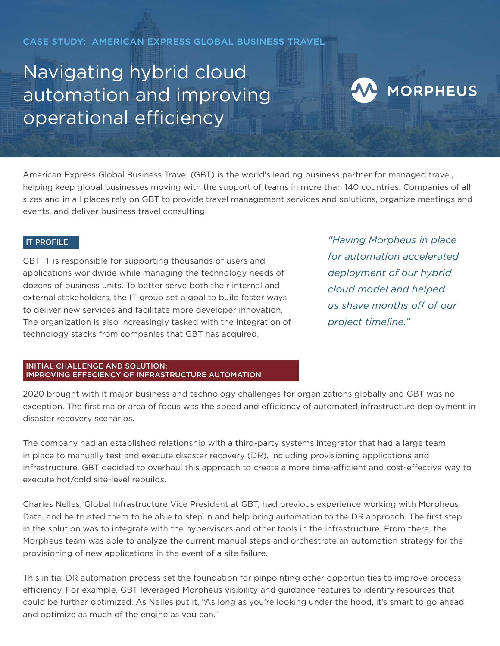CASE STUDY: AMERICAN EXPRESS GLOBAL BUSINESS TRAVEL

# Navigating hybrid cloud automation and improving operational efficiency

## W MORPHEUS

American Express Global Business Travel (GBT) is the world's leading business partner for managed travel, helping keep global businesses moving with the support of teams in more than 140 countries. Companies of all sizes and in all places rely on GBT to provide travel management services and solutions, organize meetings and events, and deliver business travel consulting.

### IT PROFILE

GBT IT is responsible for supporting thousands of users and applications worldwide while managing the technology needs of dozens of business units. To better serve both their internal and external stakeholders, the IT group set a goal to build faster ways to deliver new services and facilitate more developer innovation. The organization is also increasingly tasked with the integration of technology stacks from companies that GBT has acquired.

*"Having Morpheus in place for automation accelerated deployment of our hybrid cloud model and helped us shave months off of our project timeline."* 

#### INITIAL CHALLENGE AND SOLUTION: IMPROVING EFFECIENCY OF INFRASTRUCTURE AUTOMATION

2020 brought with it major business and technology challenges for organizations globally and GBT was no exception. The first major area of focus was the speed and efficiency of automated infrastructure deployment in disaster recovery scenarios.

The company had an established relationship with a third-party systems integrator that had a large team in place to manually test and execute disaster recovery (DR), including provisioning applications and infrastructure. GBT decided to overhaul this approach to create a more time-efficient and cost-effective way to execute hot/cold site-level rebuilds.

Charles Nelles, Global Infrastructure Vice President at GBT, had previous experience working with Morpheus Data, and he trusted them to be able to step in and help bring automation to the DR approach. The first step in the solution was to integrate with the hypervisors and other tools in the infrastructure. From there, the Morpheus team was able to analyze the current manual steps and orchestrate an automation strategy for the provisioning of new applications in the event of a site failure.

This initial DR automation process set the foundation for pinpointing other opportunities to improve process efficiency. For example, GBT leveraged Morpheus visibility and guidance features to identify resources that could be further optimized. As Nelles put it, "As long as you're looking under the hood, it's smart to go ahead and optimize as much of the engine as you can."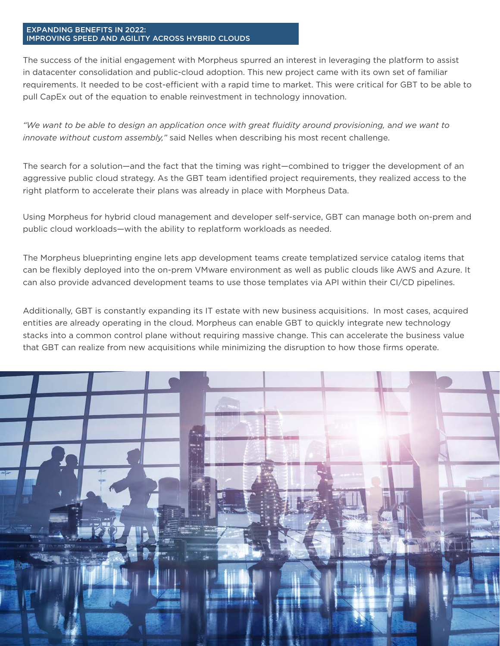#### EXPANDING BENEFITS IN 2022: IMPROVING SPEED AND AGILITY ACROSS HYBRID CLOUDS

The success of the initial engagement with Morpheus spurred an interest in leveraging the platform to assist in datacenter consolidation and public-cloud adoption. This new project came with its own set of familiar requirements. It needed to be cost-efficient with a rapid time to market. This were critical for GBT to be able to pull CapEx out of the equation to enable reinvestment in technology innovation.

"We want to be able to design an application once with great fluidity around provisioning, and we want to *innovate without custom assembly,"* said Nelles when describing his most recent challenge.

The search for a solution—and the fact that the timing was right—combined to trigger the development of an aggressive public cloud strategy. As the GBT team identified project requirements, they realized access to the right platform to accelerate their plans was already in place with Morpheus Data.

Using Morpheus for hybrid cloud management and developer self-service, GBT can manage both on-prem and public cloud workloads—with the ability to replatform workloads as needed.

The Morpheus blueprinting engine lets app development teams create templatized service catalog items that can be flexibly deployed into the on-prem VMware environment as well as public clouds like AWS and Azure. It can also provide advanced development teams to use those templates via API within their CI/CD pipelines.

Additionally, GBT is constantly expanding its IT estate with new business acquisitions. In most cases, acquired entities are already operating in the cloud. Morpheus can enable GBT to quickly integrate new technology stacks into a common control plane without requiring massive change. This can accelerate the business value that GBT can realize from new acquisitions while minimizing the disruption to how those firms operate.